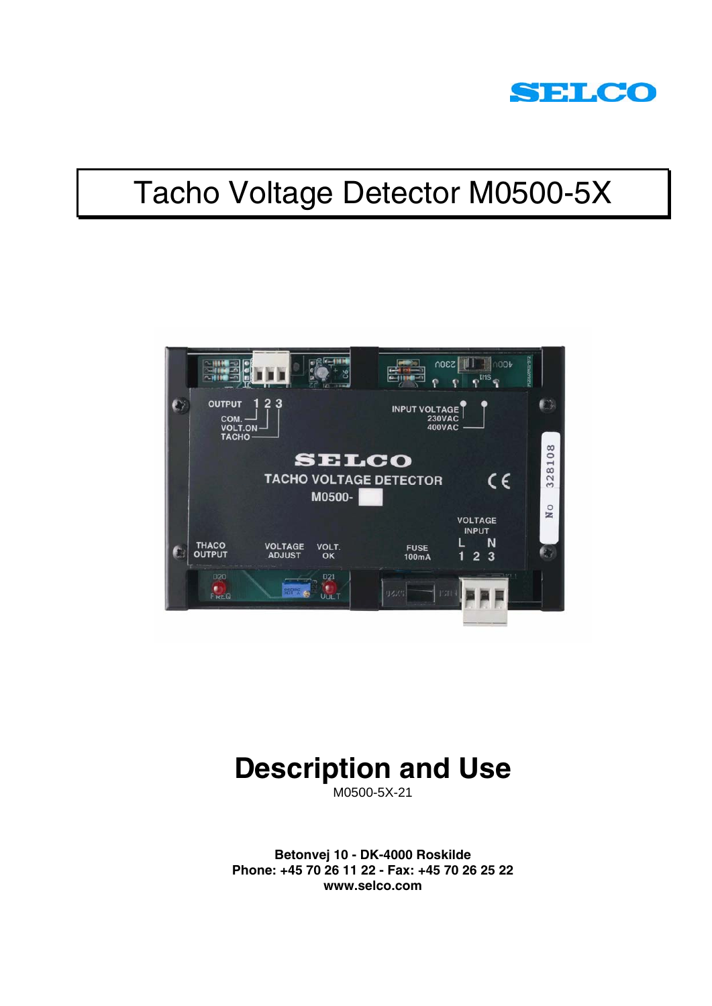

# Tacho Voltage Detector M0500-5X



# **Description and Use**

M0500-5X-21

**Betonvej 10 - DK-4000 Roskilde Phone: +45 70 26 11 22 - Fax: +45 70 26 25 22 www.selco.com**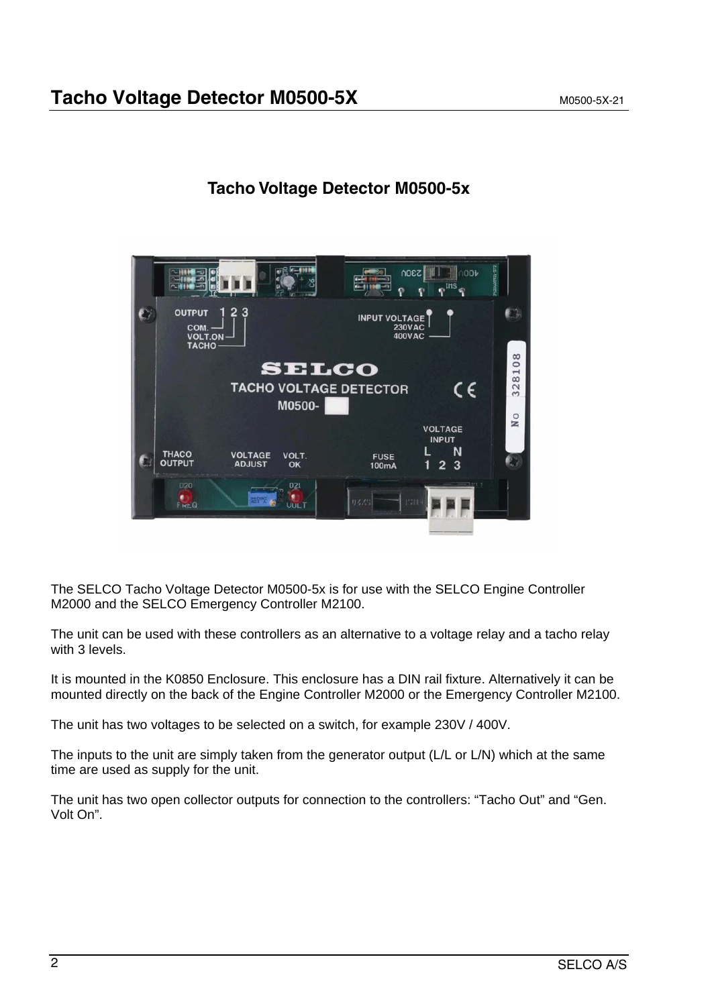

### **Tacho Voltage Detector M0500-5x**

The SELCO Tacho Voltage Detector M0500-5x is for use with the SELCO Engine Controller M2000 and the SELCO Emergency Controller M2100.

The unit can be used with these controllers as an alternative to a voltage relay and a tacho relay with 3 levels.

It is mounted in the K0850 Enclosure. This enclosure has a DIN rail fixture. Alternatively it can be mounted directly on the back of the Engine Controller M2000 or the Emergency Controller M2100.

The unit has two voltages to be selected on a switch, for example 230V / 400V.

The inputs to the unit are simply taken from the generator output (L/L or L/N) which at the same time are used as supply for the unit.

The unit has two open collector outputs for connection to the controllers: "Tacho Out" and "Gen. Volt On".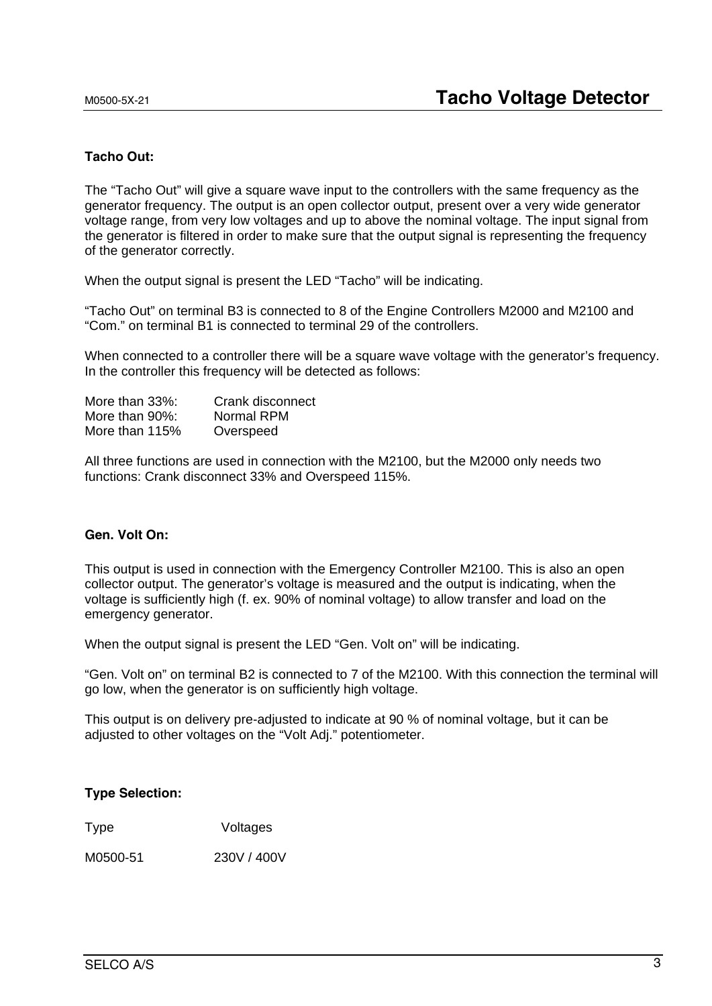#### **Tacho Out:**

The "Tacho Out" will give a square wave input to the controllers with the same frequency as the generator frequency. The output is an open collector output, present over a very wide generator voltage range, from very low voltages and up to above the nominal voltage. The input signal from the generator is filtered in order to make sure that the output signal is representing the frequency of the generator correctly.

When the output signal is present the LED "Tacho" will be indicating.

"Tacho Out" on terminal B3 is connected to 8 of the Engine Controllers M2000 and M2100 and "Com." on terminal B1 is connected to terminal 29 of the controllers.

When connected to a controller there will be a square wave voltage with the generator's frequency. In the controller this frequency will be detected as follows:

| More than 33%: | Crank disconnect |
|----------------|------------------|
| More than 90%: | Normal RPM       |
| More than 115% | Overspeed        |

All three functions are used in connection with the M2100, but the M2000 only needs two functions: Crank disconnect 33% and Overspeed 115%.

### **Gen. Volt On:**

This output is used in connection with the Emergency Controller M2100. This is also an open collector output. The generator's voltage is measured and the output is indicating, when the voltage is sufficiently high (f. ex. 90% of nominal voltage) to allow transfer and load on the emergency generator.

When the output signal is present the LED "Gen. Volt on" will be indicating.

"Gen. Volt on" on terminal B2 is connected to 7 of the M2100. With this connection the terminal will go low, when the generator is on sufficiently high voltage.

This output is on delivery pre-adjusted to indicate at 90 % of nominal voltage, but it can be adjusted to other voltages on the "Volt Adj." potentiometer.

#### **Type Selection:**

Type Voltages

M0500-51 230V / 400V